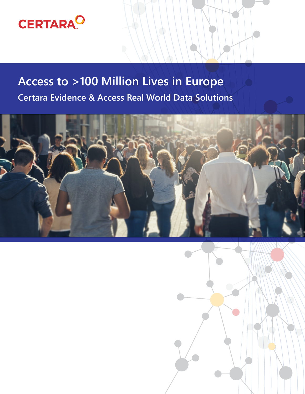

## **Access to >100 Million Lives in Europe Certara Evidence & Access Real World Data Solutions**



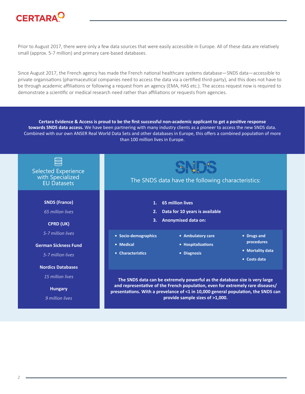

Prior to August 2017, there were only a few data sources that were easily accessible in Europe. All of these data are relatively small (approx. 5-7 million) and primary care-based databases.

Since August 2017, the French agency has made the French national healthcare systems database—SNDS data—accessible to private organisations (pharmaceutical companies need to access the data via a certified third-party), and this does not have to be through academic affiliations or following a request from an agency (EMA, HAS etc.). The access request now is required to demonstrate a scientific or medical research need rather than affiliations or requests from agencies.

**Certara Evidence & Access is proud to be the first successful non-academic applicant to get a positive response towards SNDS data access.** We have been partnering with many industry clients as a pioneer to access the new SNDS data. Combined with our own ANSER Real World Data Sets and other databases in Europe, this offers a combined population of more than 100 million lives in Europe.



**provide sample sizes of >1,000.**

*9 million lives*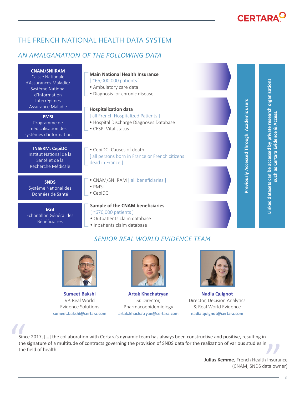# **CERTARA<sup>C</sup>**

**Previously Accessed Through: Academic users**

Previously Accessed Through: Academic users

**Linked datasets can be accessed by private research organisations such as Certara Evidence & Access.**

such as Certara Evidence & Access.

Linked datasets can be accessed by private research organisations

### THE FRENCH NATIONAL HEALTH DATA SYSTEM

#### *AN AMALGAMATION OF THE FOLLOWING DATA*

**CNAM/SNIIRAM** Caisse Nationale d'Assurances Maladie/ Système National d'Information Interrégimes Assurance Maladie

**PMSI** Programme de médicalisation des systèmes d'information

**INSERM: CepiDC** Institut National de la Santé et de la Recherche Médicale

**SNDS** Système National des Données de Santé

**EGB** Echantillon Général des Bénéficiaires



### *SENIOR REAL WORLD EVIDENCE TEAM*



**Sumeet Bakshi** VP, Real World Evidence Solutions **sumeet.bakshi@certara.com**



**Artak Khachatryan** Sr. Director, Pharmacoepidemiology **artak.khachatryan@certara.com**



**Nadia Quignot** Director, Decision Analytics & Real World Evidence **nadia.quignot@certara.com**

Since<br>the<br>the Since 2017, […] the collaboration with Certara's dynamic team has always been constructive and positive, resulting in the signature of a multitude of contracts governing the provision of SNDS data for the realization of various studies in the field of health. "

—**Julius Kemme**, French Health Insurance (CNAM, SNDS data owner)